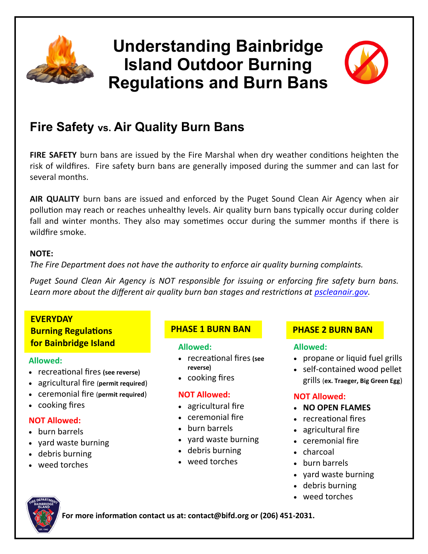

## **Understanding Bainbridge Island Outdoor Burning Regulations and Burn Bans**



## **Fire Safety vs. Air Quality Burn Bans**

**FIRE SAFETY** burn bans are issued by the Fire Marshal when dry weather conditions heighten the risk of wildfires. Fire safety burn bans are generally imposed during the summer and can last for several months.

**AIR QUALITY** burn bans are issued and enforced by the Puget Sound Clean Air Agency when air pollution may reach or reaches unhealthy levels. Air quality burn bans typically occur during colder fall and winter months. They also may sometimes occur during the summer months if there is wildfire smoke.

#### **NOTE:**

*The Fire Department does not have the authority to enforce air quality burning complaints.*

*Puget Sound Clean Air Agency is NOT responsible for issuing or enforcing fire safety burn bans. Learn more about the different air quality burn ban stages and restrictions at [pscleanair.gov.](https://www.pscleanair.gov/)*

### **EVERYDAY Burning Regulations**

## **for Bainbridge Island**

#### **Allowed:**

- recreational fires **(see reverse)**
- agricultural fire (**permit required**)
- ceremonial fire (**permit required**)
- cooking fires

### **NOT Allowed:**

- burn barrels
- yard waste burning
- debris burning
- weed torches

### **PHASE 1 BURN BAN PHASE 2 BURN BAN**

#### **Allowed:**

- recreational fires **(see reverse)**
- cooking fires

### **NOT Allowed:**

- agricultural fire
- ceremonial fire
- burn barrels
- yard waste burning
- debris burning
- weed torches

#### **Allowed:**

- propane or liquid fuel grills
- self-contained wood pellet grills (**ex. Traeger, Big Green Egg**)

### **NOT Allowed:**

- **NO OPEN FLAMES**
- recreational fires
- agricultural fire
- ceremonial fire
- charcoal
- burn barrels
- yard waste burning
- debris burning
- weed torches



**For more information contact us at: contact@bifd.org or (206) 451-2031.**